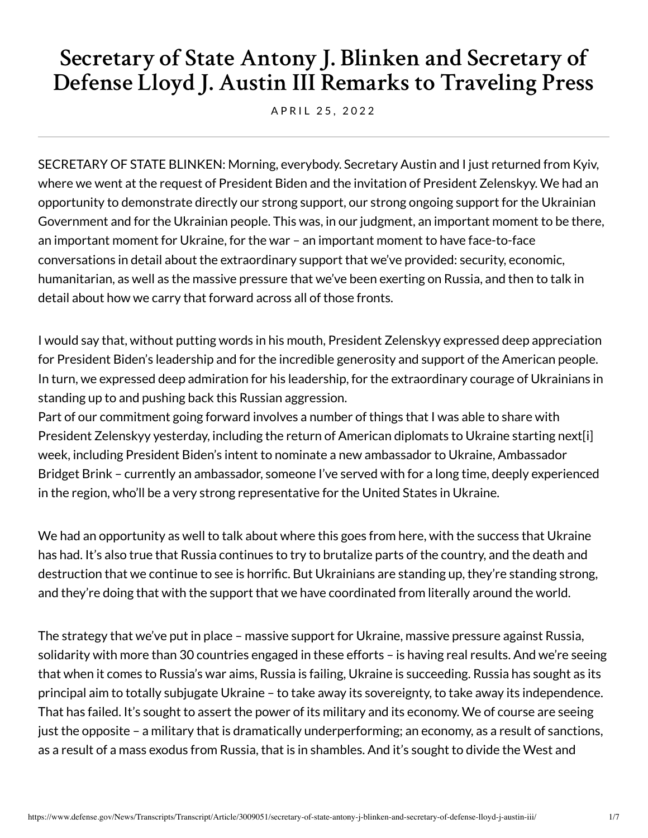# **Secretary of State Antony J. Blinken and Secretary of Defense Lloyd J. Austin III Remarks to Traveling Press**

A P R I L 25, 2022

SECRETARY OF STATE BLINKEN: Morning, everybody. Secretary Austin and I just returned from Kyiv, where we went at the request of President Biden and the invitation of President Zelenskyy. We had an opportunity to demonstrate directly our strong support, our strong ongoing support for the Ukrainian Government and for the Ukrainian people. This was, in our judgment, an important moment to be there, an important moment for Ukraine, for the war – an important moment to have face-to-face conversations in detail about the extraordinary support that we've provided: security, economic, humanitarian, as well as the massive pressure that we've been exerting on Russia, and then to talk in detail about how we carry that forward across all of those fronts.

I would say that, without putting words in his mouth, President Zelenskyy expressed deep appreciation for President Biden's leadership and for the incredible generosity and support of the American people. In turn, we expressed deep admiration for his leadership, for the extraordinary courage of Ukrainians in standing up to and pushing back this Russian aggression.

Part of our commitment going forward involves a number of things that I was able to share with President Zelenskyy yesterday, including the return of American diplomats to Ukraine starting next[i] week, including President Biden's intent to nominate a new ambassador to Ukraine, Ambassador Bridget Brink – currently an ambassador, someone I've served with for a long time, deeply experienced in the region, who'll be a very strong representative for the United States in Ukraine.

We had an opportunity as well to talk about where this goes from here, with the success that Ukraine has had. It's also true that Russia continues to try to brutalize parts of the country, and the death and destruction that we continue to see is horrific. But Ukrainians are standing up, they're standing strong, and they're doing that with the support that we have coordinated from literally around the world.

The strategy that we've put in place – massive support for Ukraine, massive pressure against Russia, solidarity with more than 30 countries engaged in these efforts – is having real results. And we're seeing that when it comes to Russia's war aims, Russia is failing, Ukraine is succeeding. Russia has sought as its principal aim to totally subjugate Ukraine – to take away its sovereignty, to take away its independence. That has failed. It's sought to assert the power of its military and its economy. We of course are seeing just the opposite – a military that is dramatically underperforming; an economy, as a result of sanctions, as a result of a mass exodus from Russia, that is in shambles. And it's sought to divide the West and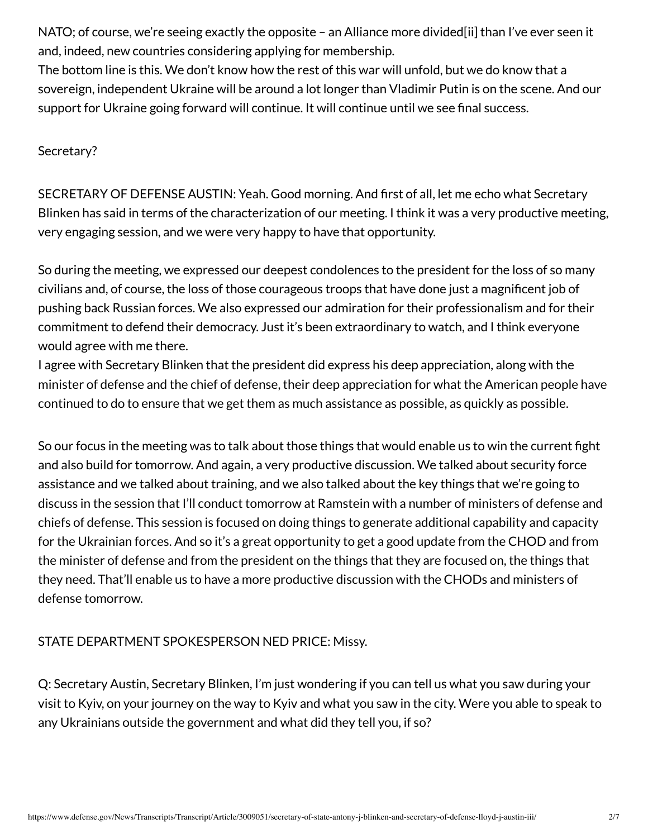NATO; of course, we're seeing exactly the opposite - an Alliance more divided[ii] than I've ever seen it and, indeed, new countries considering applying for membership.

The bottom line is this. We don't know how the rest of this war will unfold, but we do know that a sovereign, independent Ukraine will be around a lot longer than Vladimir Putin is on the scene. And our support for Ukraine going forward will continue. It will continue until we see final success.

## Secretary?

SECRETARY OF DEFENSE AUSTIN: Yeah. Good morning. And first of all, let me echo what Secretary Blinken has said in terms of the characterization of our meeting. I think it was a very productive meeting, very engaging session, and we were very happy to have that opportunity.

So during the meeting, we expressed our deepest condolences to the president for the loss of so many civilians and, of course, the loss of those courageous troops that have done just a magnificent job of pushing back Russian forces. We also expressed our admiration for their professionalism and for their commitment to defend their democracy. Just it's been extraordinary to watch, and I think everyone would agree with me there.

I agree with Secretary Blinken that the president did express his deep appreciation, along with the minister of defense and the chief of defense, their deep appreciation for what the American people have continued to do to ensure that we get them as much assistance as possible, as quickly as possible.

So our focus in the meeting was to talk about those things that would enable us to win the current fight and also build for tomorrow. And again, a very productive discussion. We talked about security force assistance and we talked about training, and we also talked about the key things that we're going to discuss in the session that I'll conduct tomorrow at Ramstein with a number of ministers of defense and chiefs of defense. This session is focused on doing things to generate additional capability and capacity for the Ukrainian forces. And so it's a great opportunity to get a good update from the CHOD and from the minister of defense and from the president on the things that they are focused on, the things that they need. That'll enable us to have a more productive discussion with the CHODs and ministers of defense tomorrow.

# STATE DEPARTMENT SPOKESPERSON NED PRICE: Missy.

Q: Secretary Austin, Secretary Blinken, I'm just wondering if you can tell us what you saw during your visit to Kyiv, on your journey on the way to Kyiv and what you saw in the city. Were you able to speak to any Ukrainians outside the government and what did they tell you, if so?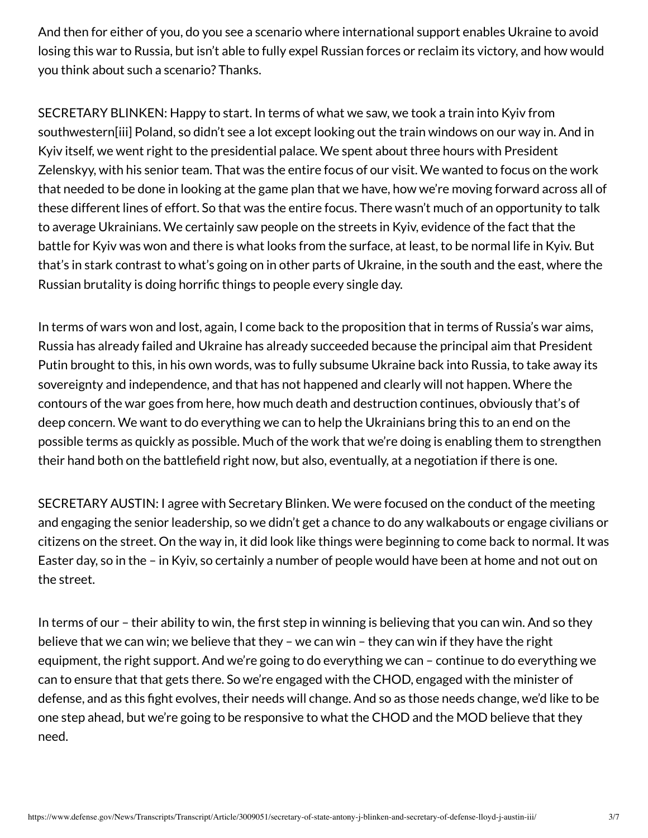And then for either of you, do you see a scenario where international support enables Ukraine to avoid losing this war to Russia, but isn't able to fully expel Russian forces or reclaim its victory, and how would you think about such a scenario? Thanks.

SECRETARY BLINKEN: Happy to start. In terms of what we saw, we took a train into Kyiv from southwestern[iii] Poland, so didn't see a lot except looking out the train windows on our way in. And in Kyiv itself, we went right to the presidential palace. We spent about three hours with President Zelenskyy, with his senior team. That was the entire focus of our visit. We wanted to focus on the work that needed to be done in looking at the game plan that we have, how we're moving forward across all of these different lines of effort. So that was the entire focus. There wasn't much of an opportunity to talk to average Ukrainians. We certainly saw people on the streets in Kyiv, evidence of the fact that the battle for Kyiv was won and there is what looks from the surface, at least, to be normal life in Kyiv. But that's in stark contrast to what's going on in other parts of Ukraine, in the south and the east, where the Russian brutality is doing horrific things to people every single day.

In terms of wars won and lost, again, I come back to the proposition that in terms of Russia's war aims, Russia has already failed and Ukraine has already succeeded because the principal aim that President Putin brought to this, in his own words, was to fully subsume Ukraine back into Russia, to take away its sovereignty and independence, and that has not happened and clearly will not happen. Where the contours of the war goes from here, how much death and destruction continues, obviously that's of deep concern. We want to do everything we can to help the Ukrainians bring this to an end on the possible terms as quickly as possible. Much of the work that we're doing is enabling them to strengthen their hand both on the battlefield right now, but also, eventually, at a negotiation if there is one.

SECRETARY AUSTIN: I agree with Secretary Blinken. We were focused on the conduct of the meeting and engaging the senior leadership, so we didn't get a chance to do any walkabouts or engage civilians or citizens on the street. On the way in, it did look like things were beginning to come back to normal. It was Easter day, so in the – in Kyiv, so certainly a number of people would have been at home and not out on the street.

In terms of our – their ability to win, the first step in winning is believing that you can win. And so they believe that we can win; we believe that they – we can win – they can win if they have the right equipment, the right support. And we're going to do everything we can – continue to do everything we can to ensure that that gets there. So we're engaged with the CHOD, engaged with the minister of defense, and as this fight evolves, their needs will change. And so as those needs change, we'd like to be one step ahead, but we're going to be responsive to what the CHOD and the MOD believe that they need.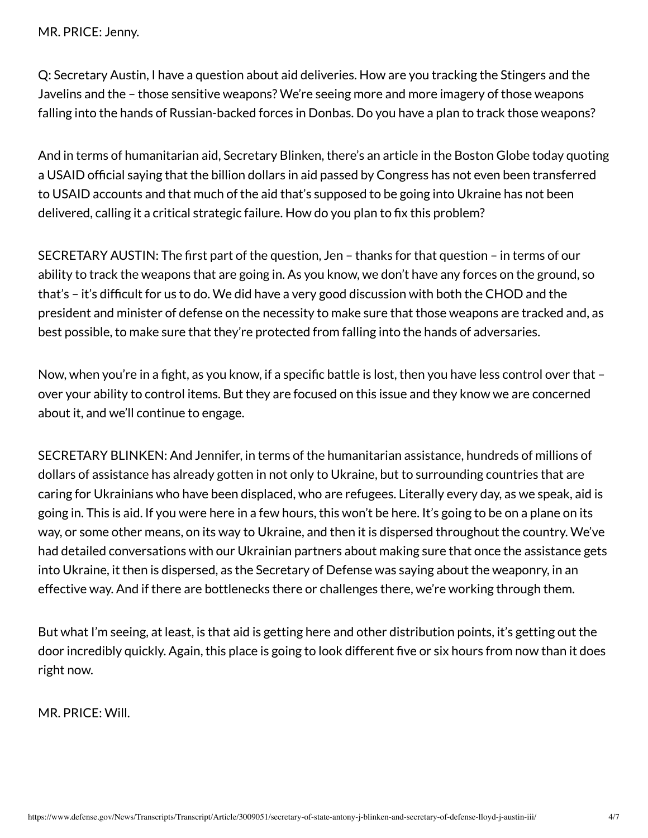Q: Secretary Austin, I have a question about aid deliveries. How are you tracking the Stingers and the Javelins and the – those sensitive weapons? We're seeing more and more imagery of those weapons falling into the hands of Russian-backed forces in Donbas. Do you have a plan to track those weapons?

And in terms of humanitarian aid, Secretary Blinken, there's an article in the Boston Globe today quoting a USAID official saying that the billion dollars in aid passed by Congress has not even been transferred to USAID accounts and that much of the aid that's supposed to be going into Ukraine has not been delivered, calling it a critical strategic failure. How do you plan to fix this problem?

SECRETARY AUSTIN: The first part of the question, Jen – thanks for that question – in terms of our ability to track the weapons that are going in. As you know, we don't have any forces on the ground, so that's – it's difficult for us to do. We did have a very good discussion with both the CHOD and the president and minister of defense on the necessity to make sure that those weapons are tracked and, as best possible, to make sure that they're protected from falling into the hands of adversaries.

Now, when you're in a fight, as you know, if a specific battle is lost, then you have less control over that – over your ability to control items. But they are focused on this issue and they know we are concerned about it, and we'll continue to engage.

SECRETARY BLINKEN: And Jennifer, in terms of the humanitarian assistance, hundreds of millions of dollars of assistance has already gotten in not only to Ukraine, but to surrounding countries that are caring for Ukrainians who have been displaced, who are refugees. Literally every day, as we speak, aid is going in. This is aid. If you were here in a few hours, this won't be here. It's going to be on a plane on its way, or some other means, on its way to Ukraine, and then it is dispersed throughout the country. We've had detailed conversations with our Ukrainian partners about making sure that once the assistance gets into Ukraine, it then is dispersed, as the Secretary of Defense was saying about the weaponry, in an effective way. And if there are bottlenecks there or challenges there, we're working through them.

But what I'm seeing, at least, is that aid is getting here and other distribution points, it's getting out the door incredibly quickly. Again, this place is going to look different five or six hours from now than it does right now.

MR. PRICE: Will.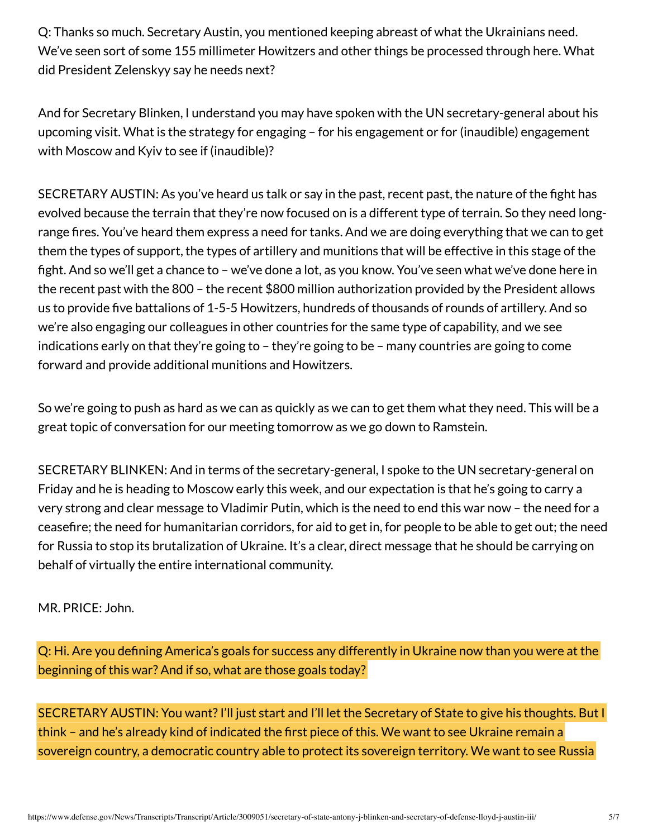Q: Thanks so much. Secretary Austin, you mentioned keeping abreast of what the Ukrainians need. We've seen sort of some 155 millimeter Howitzers and other things be processed through here. What did President Zelenskyy say he needs next?

And for Secretary Blinken, I understand you may have spoken with the UN secretary-general about his upcoming visit. What is the strategy for engaging – for his engagement or for (inaudible) engagement with Moscow and Kyiv to see if (inaudible)?

SECRETARY AUSTIN: As you've heard us talk or say in the past, recent past, the nature of the fight has evolved because the terrain that they're now focused on is a different type of terrain. So they need longrange fires. You've heard them express a need for tanks. And we are doing everything that we can to get them the types of support, the types of artillery and munitions that will be effective in this stage of the fight. And so we'll get a chance to – we've done a lot, as you know. You've seen what we've done here in the recent past with the 800 – the recent \$800 million authorization provided by the President allows us to provide five battalions of 1-5-5 Howitzers, hundreds of thousands of rounds of artillery. And so we're also engaging our colleagues in other countries for the same type of capability, and we see indications early on that they're going to – they're going to be – many countries are going to come forward and provide additional munitions and Howitzers.

So we're going to push as hard as we can as quickly as we can to get them what they need. This will be a great topic of conversation for our meeting tomorrow as we go down to Ramstein.

SECRETARY BLINKEN: And in terms of the secretary-general, I spoke to the UN secretary-general on Friday and he is heading to Moscow early this week, and our expectation is that he's going to carry a very strong and clear message to Vladimir Putin, which is the need to end this war now – the need for a ceasefire; the need for humanitarian corridors, for aid to get in, for people to be able to get out; the need for Russia to stop its brutalization of Ukraine. It's a clear, direct message that he should be carrying on behalf of virtually the entire international community.

### MR. PRICE: John.

Q: Hi. Are you defining America's goals for success any differently in Ukraine now than you were at the beginning of this war? And if so, what are those goals today?

SECRETARY AUSTIN: You want? I'll just start and I'll let the Secretary of State to give his thoughts. But I think – and he's already kind of indicated the first piece of this. We want to see Ukraine remain a sovereign country, a democratic country able to protect its sovereign territory. We want to see Russia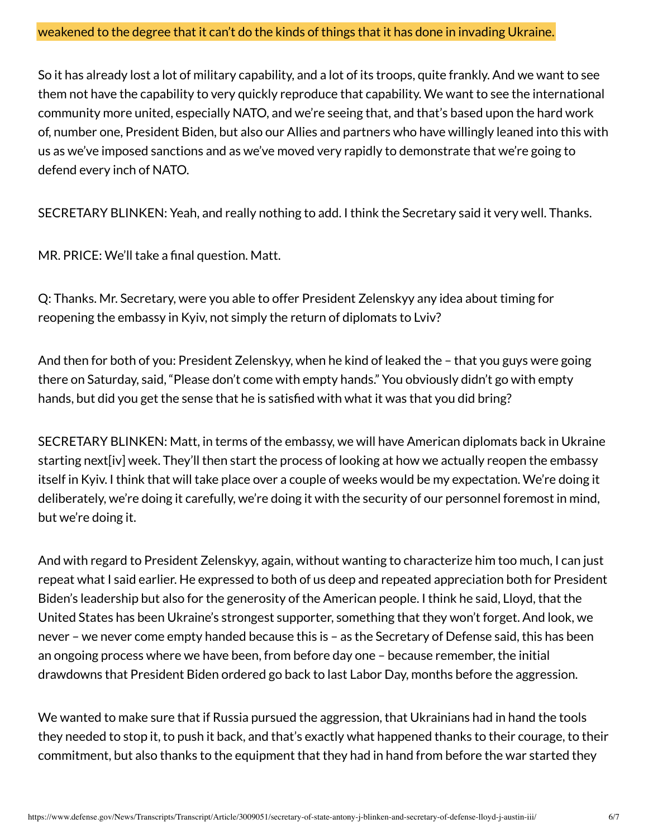#### weakened to the degree that it can't do the kinds of things that it has done in invading Ukraine.

So it has already lost a lot of military capability, and a lot of its troops, quite frankly. And we want to see them not have the capability to very quickly reproduce that capability. We want to see the international community more united, especially NATO, and we're seeing that, and that's based upon the hard work of, number one, President Biden, but also our Allies and partners who have willingly leaned into this with us as we've imposed sanctions and as we've moved very rapidly to demonstrate that we're going to defend every inch of NATO.

SECRETARY BLINKEN: Yeah, and really nothing to add. I think the Secretary said it very well. Thanks.

MR. PRICE: We'll take a final question. Matt.

Q: Thanks. Mr. Secretary, were you able to offer President Zelenskyy any idea about timing for reopening the embassy in Kyiv, not simply the return of diplomats to Lviv?

And then for both of you: President Zelenskyy, when he kind of leaked the – that you guys were going there on Saturday, said, "Please don't come with empty hands." You obviously didn't go with empty hands, but did you get the sense that he is satisfied with what it was that you did bring?

SECRETARY BLINKEN: Matt, in terms of the embassy, we will have American diplomats back in Ukraine starting next[iv] week. They'll then start the process of looking at how we actually reopen the embassy itself in Kyiv. I think that will take place over a couple of weeks would be my expectation. We're doing it deliberately, we're doing it carefully, we're doing it with the security of our personnel foremost in mind, but we're doing it.

And with regard to President Zelenskyy, again, without wanting to characterize him too much, I can just repeat what I said earlier. He expressed to both of us deep and repeated appreciation both for President Biden's leadership but also for the generosity of the American people. I think he said, Lloyd, that the United States has been Ukraine's strongest supporter, something that they won't forget. And look, we never – we never come empty handed because this is – as the Secretary of Defense said, this has been an ongoing process where we have been, from before day one – because remember, the initial drawdowns that President Biden ordered go back to last Labor Day, months before the aggression.

We wanted to make sure that if Russia pursued the aggression, that Ukrainians had in hand the tools they needed to stop it, to push it back, and that's exactly what happened thanks to their courage, to their commitment, but also thanks to the equipment that they had in hand from before the war started they